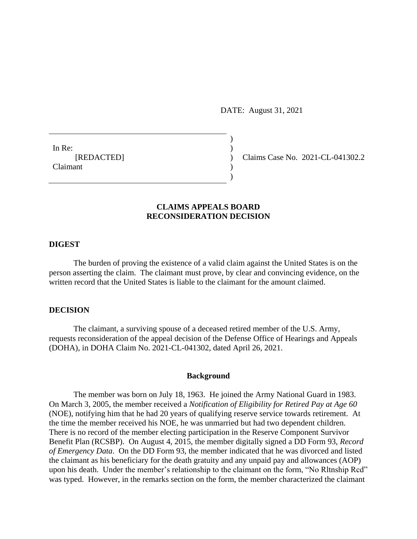DATE: August 31, 2021

 $)$ 

)

In Re:  $\qquad \qquad$ ) Claimant )

[REDACTED] ) Claims Case No. 2021-CL-041302.2

# **CLAIMS APPEALS BOARD RECONSIDERATION DECISION**

### **DIGEST**

The burden of proving the existence of a valid claim against the United States is on the person asserting the claim. The claimant must prove, by clear and convincing evidence, on the written record that the United States is liable to the claimant for the amount claimed.

### **DECISION**

The claimant, a surviving spouse of a deceased retired member of the U.S. Army, requests reconsideration of the appeal decision of the Defense Office of Hearings and Appeals (DOHA), in DOHA Claim No. 2021-CL-041302, dated April 26, 2021.

#### **Background**

The member was born on July 18, 1963. He joined the Army National Guard in 1983. On March 3, 2005, the member received a *Notification of Eligibility for Retired Pay at Age 60*  (NOE), notifying him that he had 20 years of qualifying reserve service towards retirement. At the time the member received his NOE, he was unmarried but had two dependent children. There is no record of the member electing participation in the Reserve Component Survivor Benefit Plan (RCSBP). On August 4, 2015, the member digitally signed a DD Form 93, *Record of Emergency Data*. On the DD Form 93, the member indicated that he was divorced and listed the claimant as his beneficiary for the death gratuity and any unpaid pay and allowances (AOP) upon his death. Under the member's relationship to the claimant on the form, "No Rltnship Rcd" was typed. However, in the remarks section on the form, the member characterized the claimant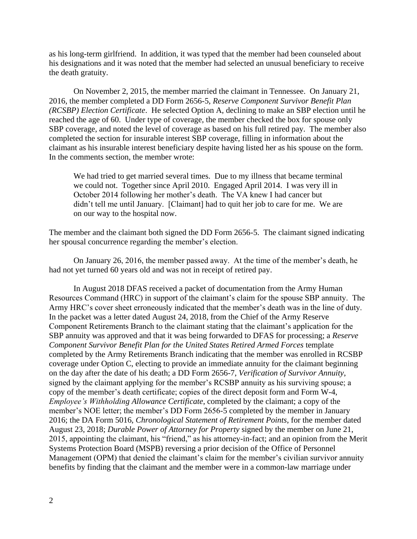as his long-term girlfriend. In addition, it was typed that the member had been counseled about his designations and it was noted that the member had selected an unusual beneficiary to receive the death gratuity.

On November 2, 2015, the member married the claimant in Tennessee. On January 21, 2016, the member completed a DD Form 2656-5, *Reserve Component Survivor Benefit Plan (RCSBP) Election Certificate*. He selected Option A, declining to make an SBP election until he reached the age of 60. Under type of coverage, the member checked the box for spouse only SBP coverage, and noted the level of coverage as based on his full retired pay. The member also completed the section for insurable interest SBP coverage, filling in information about the claimant as his insurable interest beneficiary despite having listed her as his spouse on the form. In the comments section, the member wrote:

We had tried to get married several times. Due to my illness that became terminal we could not. Together since April 2010. Engaged April 2014. I was very ill in October 2014 following her mother's death. The VA knew I had cancer but didn't tell me until January. [Claimant] had to quit her job to care for me. We are on our way to the hospital now.

The member and the claimant both signed the DD Form 2656-5. The claimant signed indicating her spousal concurrence regarding the member's election.

On January 26, 2016, the member passed away. At the time of the member's death, he had not yet turned 60 years old and was not in receipt of retired pay.

In August 2018 DFAS received a packet of documentation from the Army Human Resources Command (HRC) in support of the claimant's claim for the spouse SBP annuity. The Army HRC's cover sheet erroneously indicated that the member's death was in the line of duty. In the packet was a letter dated August 24, 2018, from the Chief of the Army Reserve Component Retirements Branch to the claimant stating that the claimant's application for the SBP annuity was approved and that it was being forwarded to DFAS for processing; a *Reserve Component Survivor Benefit Plan for the United States Retired Armed Forces* template completed by the Army Retirements Branch indicating that the member was enrolled in RCSBP coverage under Option C, electing to provide an immediate annuity for the claimant beginning on the day after the date of his death; a DD Form 2656-7, *Verification of Survivor Annuity*, signed by the claimant applying for the member's RCSBP annuity as his surviving spouse; a copy of the member's death certificate; copies of the direct deposit form and Form W-4, *Employee's Withholding Allowance Certificate*, completed by the claimant; a copy of the member's NOE letter; the member's DD Form 2656-5 completed by the member in January 2016; the DA Form 5016, *Chronological Statement of Retirement Points*, for the member dated August 23, 2018; *Durable Power of Attorney for Property* signed by the member on June 21, 2015, appointing the claimant, his "friend," as his attorney-in-fact; and an opinion from the Merit Systems Protection Board (MSPB) reversing a prior decision of the Office of Personnel Management (OPM) that denied the claimant's claim for the member's civilian survivor annuity benefits by finding that the claimant and the member were in a common-law marriage under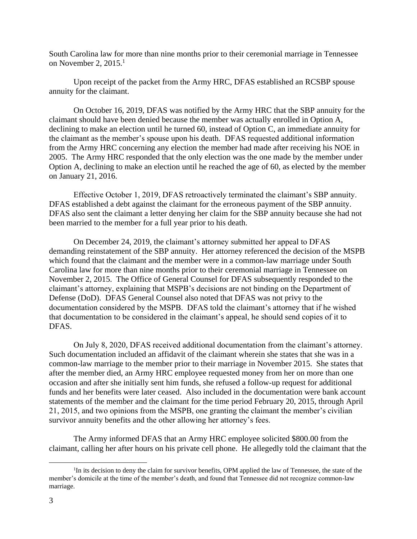South Carolina law for more than nine months prior to their ceremonial marriage in Tennessee on November 2, 2015. $<sup>1</sup>$ </sup>

Upon receipt of the packet from the Army HRC, DFAS established an RCSBP spouse annuity for the claimant.

On October 16, 2019, DFAS was notified by the Army HRC that the SBP annuity for the claimant should have been denied because the member was actually enrolled in Option A, declining to make an election until he turned 60, instead of Option C, an immediate annuity for the claimant as the member's spouse upon his death. DFAS requested additional information from the Army HRC concerning any election the member had made after receiving his NOE in 2005. The Army HRC responded that the only election was the one made by the member under Option A, declining to make an election until he reached the age of 60, as elected by the member on January 21, 2016.

Effective October 1, 2019, DFAS retroactively terminated the claimant's SBP annuity. DFAS established a debt against the claimant for the erroneous payment of the SBP annuity. DFAS also sent the claimant a letter denying her claim for the SBP annuity because she had not been married to the member for a full year prior to his death.

On December 24, 2019, the claimant's attorney submitted her appeal to DFAS demanding reinstatement of the SBP annuity. Her attorney referenced the decision of the MSPB which found that the claimant and the member were in a common-law marriage under South Carolina law for more than nine months prior to their ceremonial marriage in Tennessee on November 2, 2015. The Office of General Counsel for DFAS subsequently responded to the claimant's attorney, explaining that MSPB's decisions are not binding on the Department of Defense (DoD). DFAS General Counsel also noted that DFAS was not privy to the documentation considered by the MSPB. DFAS told the claimant's attorney that if he wished that documentation to be considered in the claimant's appeal, he should send copies of it to DFAS.

On July 8, 2020, DFAS received additional documentation from the claimant's attorney. Such documentation included an affidavit of the claimant wherein she states that she was in a common-law marriage to the member prior to their marriage in November 2015. She states that after the member died, an Army HRC employee requested money from her on more than one occasion and after she initially sent him funds, she refused a follow-up request for additional funds and her benefits were later ceased. Also included in the documentation were bank account statements of the member and the claimant for the time period February 20, 2015, through April 21, 2015, and two opinions from the MSPB, one granting the claimant the member's civilian survivor annuity benefits and the other allowing her attorney's fees.

The Army informed DFAS that an Army HRC employee solicited \$800.00 from the claimant, calling her after hours on his private cell phone. He allegedly told the claimant that the

 $\overline{a}$ 

<sup>&</sup>lt;sup>1</sup>In its decision to deny the claim for survivor benefits, OPM applied the law of Tennessee, the state of the member's domicile at the time of the member's death, and found that Tennessee did not recognize common-law marriage.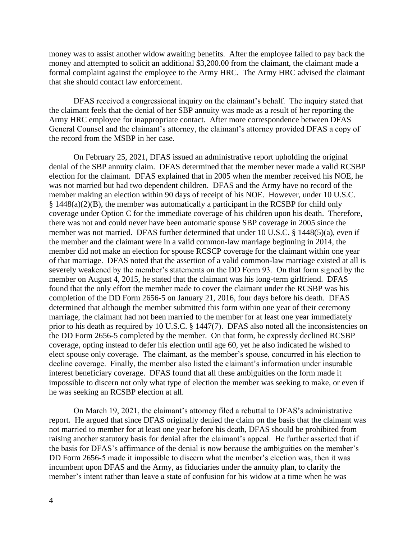money was to assist another widow awaiting benefits. After the employee failed to pay back the money and attempted to solicit an additional \$3,200.00 from the claimant, the claimant made a formal complaint against the employee to the Army HRC. The Army HRC advised the claimant that she should contact law enforcement.

DFAS received a congressional inquiry on the claimant's behalf. The inquiry stated that the claimant feels that the denial of her SBP annuity was made as a result of her reporting the Army HRC employee for inappropriate contact. After more correspondence between DFAS General Counsel and the claimant's attorney, the claimant's attorney provided DFAS a copy of the record from the MSBP in her case.

On February 25, 2021, DFAS issued an administrative report upholding the original denial of the SBP annuity claim. DFAS determined that the member never made a valid RCSBP election for the claimant. DFAS explained that in 2005 when the member received his NOE, he was not married but had two dependent children. DFAS and the Army have no record of the member making an election within 90 days of receipt of his NOE. However, under 10 U.S.C. § 1448(a)(2)(B), the member was automatically a participant in the RCSBP for child only coverage under Option C for the immediate coverage of his children upon his death. Therefore, there was not and could never have been automatic spouse SBP coverage in 2005 since the member was not married. DFAS further determined that under 10 U.S.C. § 1448(5)(a), even if the member and the claimant were in a valid common-law marriage beginning in 2014, the member did not make an election for spouse RCSCP coverage for the claimant within one year of that marriage. DFAS noted that the assertion of a valid common-law marriage existed at all is severely weakened by the member's statements on the DD Form 93. On that form signed by the member on August 4, 2015, he stated that the claimant was his long-term girlfriend. DFAS found that the only effort the member made to cover the claimant under the RCSBP was his completion of the DD Form 2656-5 on January 21, 2016, four days before his death. DFAS determined that although the member submitted this form within one year of their ceremony marriage, the claimant had not been married to the member for at least one year immediately prior to his death as required by 10 U.S.C. § 1447(7). DFAS also noted all the inconsistencies on the DD Form 2656-5 completed by the member. On that form, he expressly declined RCSBP coverage, opting instead to defer his election until age 60, yet he also indicated he wished to elect spouse only coverage. The claimant, as the member's spouse, concurred in his election to decline coverage. Finally, the member also listed the claimant's information under insurable interest beneficiary coverage. DFAS found that all these ambiguities on the form made it impossible to discern not only what type of election the member was seeking to make, or even if he was seeking an RCSBP election at all.

On March 19, 2021, the claimant's attorney filed a rebuttal to DFAS's administrative report. He argued that since DFAS originally denied the claim on the basis that the claimant was not married to member for at least one year before his death, DFAS should be prohibited from raising another statutory basis for denial after the claimant's appeal. He further asserted that if the basis for DFAS's affirmance of the denial is now because the ambiguities on the member's DD Form 2656-5 made it impossible to discern what the member's election was, then it was incumbent upon DFAS and the Army, as fiduciaries under the annuity plan, to clarify the member's intent rather than leave a state of confusion for his widow at a time when he was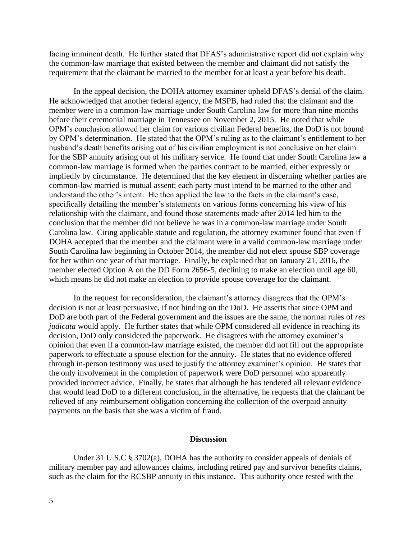facing imminent death. He further stated that DFAS's administrative report did not explain why the common-law marriage that existed between the member and claimant did not satisfy the requirement that the claimant be married to the member for at least a year before his death.

In the appeal decision, the DOHA attorney examiner upheld DFAS's denial of the claim. He acknowledged that another federal agency, the MSPB, had ruled that the claimant and the member were in a common-law marriage under South Carolina law for more than nine months before their ceremonial marriage in Tennessee on November 2, 2015. He noted that while OPM's conclusion allowed her claim for various civilian Federal benefits, the DoD is not bound by OPM's determination. He stated that the OPM's ruling as to the claimant's entitlement to her husband's death benefits arising out of his civilian employment is not conclusive on her claim for the SBP annuity arising out of his military service. He found that under South Carolina law a common-law marriage is formed when the parties contract to be married, either expressly or impliedly by circumstance. He determined that the key element in discerning whether parties are common-law married is mutual assent; each party must intend to be married to the other and understand the other's intent. He then applied the law to the facts in the claimant's case, specifically detailing the member's statements on various forms concerning his view of his relationship with the claimant, and found those statements made after 2014 led him to the conclusion that the member did not believe he was in a common-law marriage under South Carolina law. Citing applicable statute and regulation, the attorney examiner found that even if DOHA accepted that the member and the claimant were in a valid common-law marriage under South Carolina law beginning in October 2014, the member did not elect spouse SBP coverage for her within one year of that marriage. Finally, he explained that on January 21, 2016, the member elected Option A on the DD Form 2656-5, declining to make an election until age 60, which means he did not make an election to provide spouse coverage for the claimant.

In the request for reconsideration, the claimant's attorney disagrees that the OPM's decision is not at least persuasive, if not binding on the DoD. He asserts that since OPM and DoD are both part of the Federal government and the issues are the same, the normal rules of *res judicata* would apply. He further states that while OPM considered all evidence in reaching its decision, DoD only considered the paperwork. He disagrees with the attorney examiner's opinion that even if a common-law marriage existed, the member did not fill out the appropriate paperwork to effectuate a spouse election for the annuity. He states that no evidence offered through in-person testimony was used to justify the attorney examiner's opinion. He states that the only involvement in the completion of paperwork were DoD personnel who apparently provided incorrect advice. Finally, he states that although he has tendered all relevant evidence that would lead DoD to a different conclusion, in the alternative, he requests that the claimant be relieved of any reimbursement obligation concerning the collection of the overpaid annuity payments on the basis that she was a victim of fraud.

#### **Discussion**

Under 31 U.S.C § 3702(a), DOHA has the authority to consider appeals of denials of military member pay and allowances claims, including retired pay and survivor benefits claims, such as the claim for the RCSBP annuity in this instance. This authority once rested with the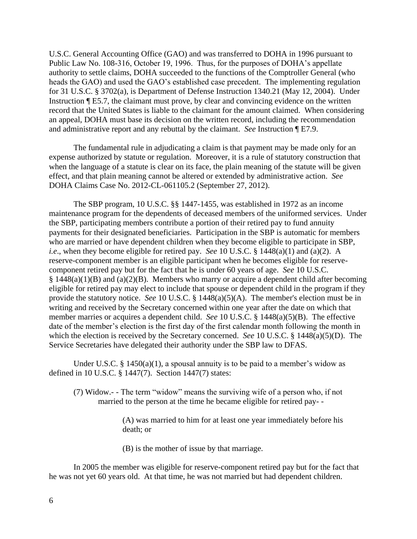U.S.C. General Accounting Office (GAO) and was transferred to DOHA in 1996 pursuant to Public Law No. 108-316, October 19, 1996. Thus, for the purposes of DOHA's appellate authority to settle claims, DOHA succeeded to the functions of the Comptroller General (who heads the GAO) and used the GAO's established case precedent. The implementing regulation for 31 U.S.C. § 3702(a), is Department of Defense Instruction 1340.21 (May 12, 2004). Under Instruction ¶ E5.7, the claimant must prove, by clear and convincing evidence on the written record that the United States is liable to the claimant for the amount claimed. When considering an appeal, DOHA must base its decision on the written record, including the recommendation and administrative report and any rebuttal by the claimant. *See* Instruction ¶ E7.9.

The fundamental rule in adjudicating a claim is that payment may be made only for an expense authorized by statute or regulation. Moreover, it is a rule of statutory construction that when the language of a statute is clear on its face, the plain meaning of the statute will be given effect, and that plain meaning cannot be altered or extended by administrative action. *See*  DOHA Claims Case No. 2012-CL-061105.2 (September 27, 2012).

The SBP program, 10 U.S.C. §§ 1447-1455, was established in 1972 as an income maintenance program for the dependents of deceased members of the uniformed services. Under the SBP, participating members contribute a portion of their retired pay to fund annuity payments for their designated beneficiaries. Participation in the SBP is automatic for members who are married or have dependent children when they become eligible to participate in SBP, *i.e*., when they become eligible for retired pay. *See* 10 U.S.C. § 1448(a)(1) and (a)(2). A reserve-component member is an eligible participant when he becomes eligible for reservecomponent retired pay but for the fact that he is under 60 years of age. *See* 10 U.S.C.  $§$  1448(a)(1)(B) and (a)(2)(B). Members who marry or acquire a dependent child after becoming eligible for retired pay may elect to include that spouse or dependent child in the program if they provide the statutory notice. *See* 10 U.S.C. § 1448(a)(5)(A). The member's election must be in writing and received by the Secretary concerned within one year after the date on which that member marries or acquires a dependent child. *See* 10 U.S.C. § 1448(a)(5)(B). The effective date of the member's election is the first day of the first calendar month following the month in which the election is received by the Secretary concerned. *See* 10 U.S.C. § 1448(a)(5)(D). The Service Secretaries have delegated their authority under the SBP law to DFAS.

Under U.S.C.  $\S$  1450(a)(1), a spousal annuity is to be paid to a member's widow as defined in 10 U.S.C. § 1447(7). Section 1447(7) states:

(7) Widow.- - The term "widow" means the surviving wife of a person who, if not married to the person at the time he became eligible for retired pay- -

> (A) was married to him for at least one year immediately before his death; or

(B) is the mother of issue by that marriage.

In 2005 the member was eligible for reserve-component retired pay but for the fact that he was not yet 60 years old. At that time, he was not married but had dependent children.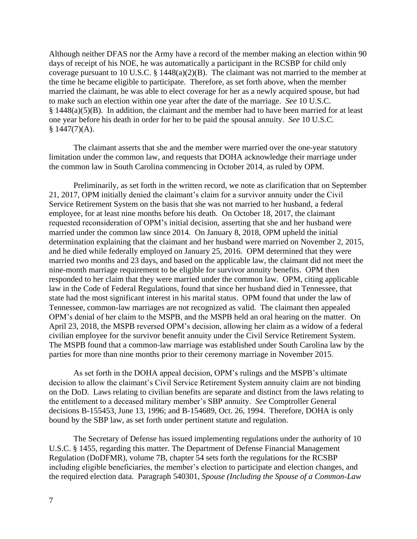Although neither DFAS nor the Army have a record of the member making an election within 90 days of receipt of his NOE, he was automatically a participant in the RCSBP for child only coverage pursuant to 10 U.S.C. § 1448(a)(2)(B). The claimant was not married to the member at the time he became eligible to participate. Therefore, as set forth above, when the member married the claimant, he was able to elect coverage for her as a newly acquired spouse, but had to make such an election within one year after the date of the marriage. *See* 10 U.S.C.  $§$  1448(a)(5)(B). In addition, the claimant and the member had to have been married for at least one year before his death in order for her to be paid the spousal annuity. *See* 10 U.S.C.  $§ 1447(7) (A).$ 

The claimant asserts that she and the member were married over the one-year statutory limitation under the common law, and requests that DOHA acknowledge their marriage under the common law in South Carolina commencing in October 2014, as ruled by OPM.

Preliminarily, as set forth in the written record, we note as clarification that on September 21, 2017, OPM initially denied the claimant's claim for a survivor annuity under the Civil Service Retirement System on the basis that she was not married to her husband, a federal employee, for at least nine months before his death. On October 18, 2017, the claimant requested reconsideration of OPM's initial decision, asserting that she and her husband were married under the common law since 2014. On January 8, 2018, OPM upheld the initial determination explaining that the claimant and her husband were married on November 2, 2015, and he died while federally employed on January 25, 2016. OPM determined that they were married two months and 23 days, and based on the applicable law, the claimant did not meet the nine-month marriage requirement to be eligible for survivor annuity benefits. OPM then responded to her claim that they were married under the common law. OPM, citing applicable law in the Code of Federal Regulations, found that since her husband died in Tennessee, that state had the most significant interest in his marital status. OPM found that under the law of Tennessee, common-law marriages are not recognized as valid. The claimant then appealed OPM's denial of her claim to the MSPB, and the MSPB held an oral hearing on the matter. On April 23, 2018, the MSPB reversed OPM's decision, allowing her claim as a widow of a federal civilian employee for the survivor benefit annuity under the Civil Service Retirement System. The MSPB found that a common-law marriage was established under South Carolina law by the parties for more than nine months prior to their ceremony marriage in November 2015.

As set forth in the DOHA appeal decision, OPM's rulings and the MSPB's ultimate decision to allow the claimant's Civil Service Retirement System annuity claim are not binding on the DoD. Laws relating to civilian benefits are separate and distinct from the laws relating to the entitlement to a deceased military member's SBP annuity. *See* Comptroller General decisions B-155453, June 13, 1996; and B-154689, Oct. 26, 1994. Therefore, DOHA is only bound by the SBP law, as set forth under pertinent statute and regulation.

The Secretary of Defense has issued implementing regulations under the authority of 10 U.S.C. § 1455, regarding this matter. The Department of Defense Financial Management Regulation (DoDFMR), volume 7B, chapter 54 sets forth the regulations for the RCSBP including eligible beneficiaries, the member's election to participate and election changes, and the required election data. Paragraph 540301, *Spouse (Including the Spouse of a Common-Law*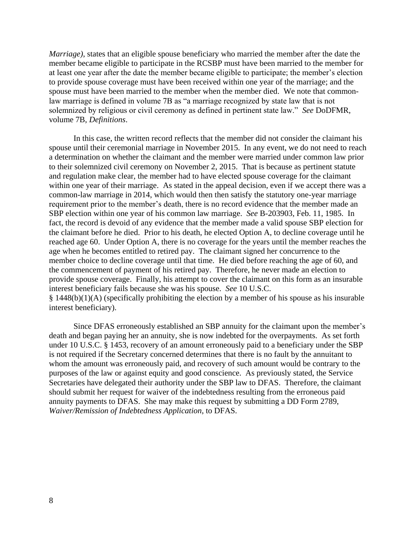*Marriage)*, states that an eligible spouse beneficiary who married the member after the date the member became eligible to participate in the RCSBP must have been married to the member for at least one year after the date the member became eligible to participate; the member's election to provide spouse coverage must have been received within one year of the marriage; and the spouse must have been married to the member when the member died. We note that commonlaw marriage is defined in volume 7B as "a marriage recognized by state law that is not solemnized by religious or civil ceremony as defined in pertinent state law." *See* DoDFMR, volume 7B, *Definitions*.

In this case, the written record reflects that the member did not consider the claimant his spouse until their ceremonial marriage in November 2015. In any event, we do not need to reach a determination on whether the claimant and the member were married under common law prior to their solemnized civil ceremony on November 2, 2015. That is because as pertinent statute and regulation make clear, the member had to have elected spouse coverage for the claimant within one year of their marriage. As stated in the appeal decision, even if we accept there was a common-law marriage in 2014, which would then then satisfy the statutory one-year marriage requirement prior to the member's death, there is no record evidence that the member made an SBP election within one year of his common law marriage. *See* B-203903, Feb. 11, 1985. In fact, the record is devoid of any evidence that the member made a valid spouse SBP election for the claimant before he died. Prior to his death, he elected Option A, to decline coverage until he reached age 60. Under Option A, there is no coverage for the years until the member reaches the age when he becomes entitled to retired pay. The claimant signed her concurrence to the member choice to decline coverage until that time. He died before reaching the age of 60, and the commencement of payment of his retired pay. Therefore, he never made an election to provide spouse coverage. Finally, his attempt to cover the claimant on this form as an insurable interest beneficiary fails because she was his spouse. *See* 10 U.S.C. § 1448(b)(1)(A) (specifically prohibiting the election by a member of his spouse as his insurable interest beneficiary).

Since DFAS erroneously established an SBP annuity for the claimant upon the member's death and began paying her an annuity, she is now indebted for the overpayments. As set forth under 10 U.S.C. § 1453, recovery of an amount erroneously paid to a beneficiary under the SBP is not required if the Secretary concerned determines that there is no fault by the annuitant to whom the amount was erroneously paid, and recovery of such amount would be contrary to the purposes of the law or against equity and good conscience. As previously stated, the Service Secretaries have delegated their authority under the SBP law to DFAS. Therefore, the claimant should submit her request for waiver of the indebtedness resulting from the erroneous paid annuity payments to DFAS. She may make this request by submitting a DD Form 2789, *Waiver/Remission of Indebtedness Application*, to DFAS.